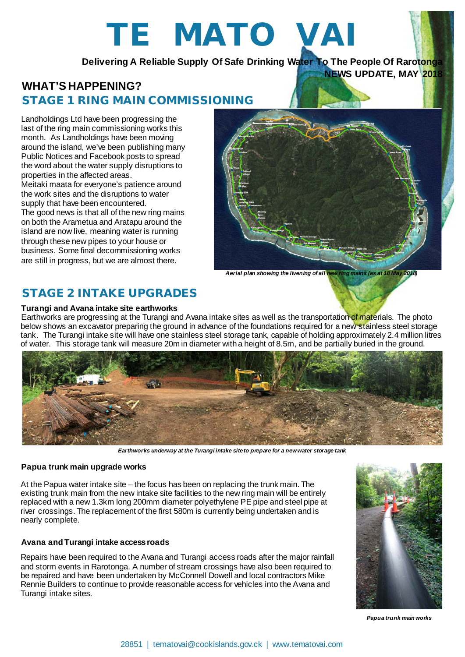# TE MATO VAI

**Delivering A Reliable Supply Of Safe Drinking Water To The People Of Rarotonga**

# **WHAT'S HAPPENING?** STAGE 1 RING MAIN COMMISSIONING

Landholdings Ltd have been progressing the last of the ring main commissioning works this month. As Landholdings have been moving around the island, we've been publishing many Public Notices and Facebook posts to spread the word about the water supply disruptions to properties in the affected areas. Meitaki maata for everyone's patience around the work sites and the disruptions to water supply that have been encountered. The good news is that all of the new ring mains on both the Arametua and Aratapu around the island are now live, meaning water is running through these new pipes to your house or business. Some final decommissioning works are still in progress, but we are almost there.



**NEWS UPDATE, MAY 2018**

*Aerial plan showing the livening of all new ring mains (as at 18 May 2018)*

# STAGE 2 INTAKE UPGRADES

## **Turangi and Avana intake site earthworks**

Earthworks are progressing at the Turangi and Avana intake sites as well as the transportation of materials. The photo below shows an excavator preparing the ground in advance of the foundations required for a new stainless steel storage tank. The Turangi intake site will have one stainless steel storage tank, capable of holding approximately 2.4 million litres of water. This storage tank will measure 20m in diameter with a height of 8.5m, and be partially buried in the ground.



*Earthworks underway at the Turangi intake site to prepare for a new water storage tank*

### **Papua trunk main upgrade works**

At the Papua water intake site – the focus has been on replacing the trunk main. The existing trunk main from the new intake site facilities to the new ring main will be entirely replaced with a new 1.3km long 200mm diameter polyethylene PE pipe and steel pipe at river crossings. The replacement of the first 580m is currently being undertaken and is nearly complete.

## **Avana and Turangi intake access roads**

Repairs have been required to the Avana and Turangi access roads after the major rainfall and storm events in Rarotonga. A number of stream crossings have also been required to be repaired and have been undertaken by McConnell Dowell and local contractors Mike Rennie Builders to continue to provide reasonable access for vehicles into the Avana and Turangi intake sites.



*Papua trunk main works*